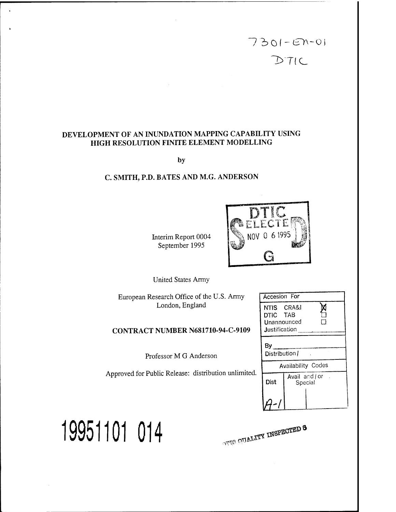

# **DEVELOPMENT OF AN INUNDATION MAPPING CAPABILITY USING HIGH RESOLUTION FINITE ELEMENT MODELLING**

**by**

# **C. SMITH, P.D. BATES AND M.G. ANDERSON**

Interim Report 0004 September 1995



United States Army

European Research Office of the U.S. Army London, England

### **CONTRACT NUMBER N681710-94-C-9109**

Professor M G Anderson

Approved for Public Release: distribution unlimited.

| Accesion For                                           |                           |  |  |
|--------------------------------------------------------|---------------------------|--|--|
| NTIS CRA&I<br>DTIC TAB<br>Unannounced<br>Justification |                           |  |  |
| By                                                     | Distribution /            |  |  |
|                                                        | <b>Availability Codes</b> |  |  |
| Dist                                                   | Avail and or<br>Special   |  |  |
|                                                        |                           |  |  |

**19951101 014** *\*r\* **iV**

 $\alpha$ **a**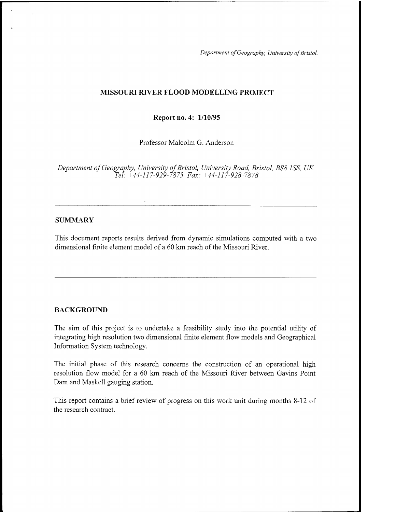*Department ofGeography, University ofBristol.*

### **MISSOURI RIVER FLOOD MODELLING PROJECT**

**Report no. 4: 1/10/95**

Professor Malcolm G. Anderson

*Department ofGeography, University ofBristol, University Road, Bristol, BS8 1SS, UK. Tel: +44-117-929-7875 Fax: +44-117-928-7878*

#### **SUMMARY**

This document reports results derived from dynamic simulations computed with a two dimensional finite element model of a 60 km reach of the Missouri River.

#### BACKGROUND

The aim of this project is to undertake a feasibility study into the potential utility of integrating high resolution two dimensional finite element flow models and Geographical Information System technology.

The initial phase of this research concerns the construction of an operational high resolution flow model for a 60 km reach of the Missouri River between Gavins Point Dam and Maskell gauging station.

This report contains a brief review of progress on this work unit during months 8-12 of the research contract.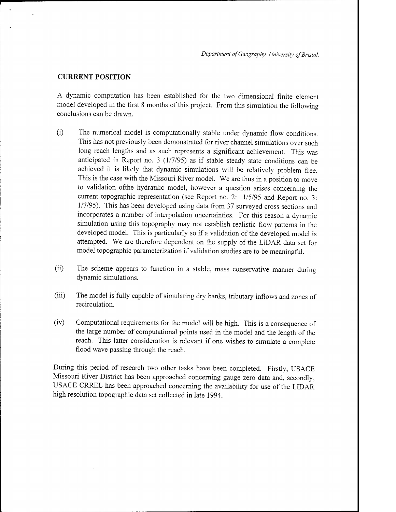#### **CURRENT POSITION**

A dynamic computation has been established for the two dimensional finite element model developed in the first 8 months of this project. From this simulation the following conclusions can be drawn.

- (i) The numerical model is computationally stable under dynamic flow conditions. This has not previously been demonstrated for river channel simulations over such long reach lengths and as such represents a significant achievement. This was anticipated in Report no. <sup>3</sup> (1/7/95) as if stable steady state conditions can be achieved it is likely that dynamic simulations will be relatively problem free. This is the case with the Missouri River model. We are thus in a position to move to validation ofthe hydraulic model, however a question arises concerning the current topographic representation (see Report no. 2: 1/5/95 and Report no. 3: 1/7/95). This has been developed using data from 37 surveyed cross sections and incorporates a number of interpolation uncertainties. For this reason a dynamic simulation using this topography may not establish realistic flow patterns in the developed model. This is particularly so if a validation of the developed model is attempted. We are therefore dependent on the supply of the LiDAR data set for model topographic parameterization if validation studies are to be meaningful.
- (ii) The scheme appears to function in a stable, mass conservative manner during dynamic simulations.
- (iii) The model is fully capable of simulating dry banks, tributary inflows and zones of recirculation.
- (iv) Computational requirements for the model will be high. This is a consequence of the large number of computational points used in the model and the length of the reach. This latter consideration is relevant if one wishes to simulate a complete flood wave passing through the reach.

During this period of research two other tasks have been completed. Firstly, USACE Missouri River District has been approached concerning gauge zero data and, secondly, USACE CRREL has been approached concerning the availability for use of the LIDAR high resolution topographic data set collected in late 1994.